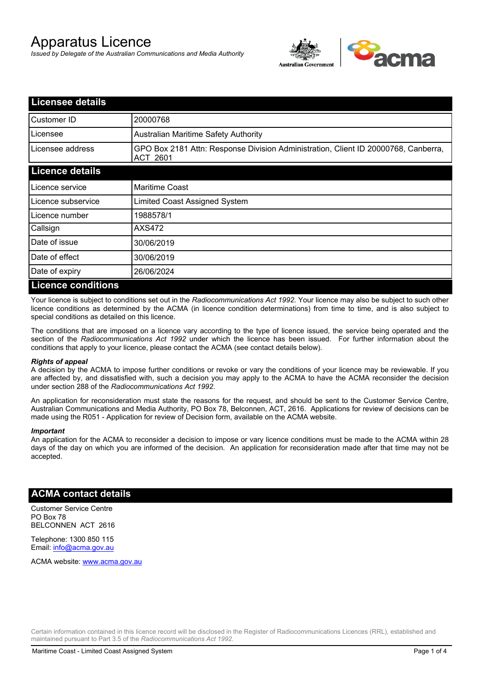# Apparatus Licence

*Issued by Delegate of the Australian Communications and Media Authority*



| <b>Licensee details</b>   |                                                                                                       |
|---------------------------|-------------------------------------------------------------------------------------------------------|
| Customer ID               | 20000768                                                                                              |
| Licensee                  | Australian Maritime Safety Authority                                                                  |
| Licensee address          | GPO Box 2181 Attn: Response Division Administration, Client ID 20000768, Canberra,<br><b>ACT 2601</b> |
| <b>Licence details</b>    |                                                                                                       |
| Licence service           | <b>Maritime Coast</b>                                                                                 |
| Licence subservice        | Limited Coast Assigned System                                                                         |
| Licence number            | 1988578/1                                                                                             |
| Callsign                  | AXS472                                                                                                |
| Date of issue             | 30/06/2019                                                                                            |
| Date of effect            | 30/06/2019                                                                                            |
| Date of expiry            | 26/06/2024                                                                                            |
| <b>Licence conditions</b> |                                                                                                       |

Your licence is subject to conditions set out in the *Radiocommunications Act 1992*. Your licence may also be subject to such other licence conditions as determined by the ACMA (in licence condition determinations) from time to time, and is also subject to special conditions as detailed on this licence.

The conditions that are imposed on a licence vary according to the type of licence issued, the service being operated and the section of the *Radiocommunications Act 1992* under which the licence has been issued. For further information about the conditions that apply to your licence, please contact the ACMA (see contact details below).

#### *Rights of appeal*

A decision by the ACMA to impose further conditions or revoke or vary the conditions of your licence may be reviewable. If you are affected by, and dissatisfied with, such a decision you may apply to the ACMA to have the ACMA reconsider the decision under section 288 of the *Radiocommunications Act 1992*.

An application for reconsideration must state the reasons for the request, and should be sent to the Customer Service Centre, Australian Communications and Media Authority, PO Box 78, Belconnen, ACT, 2616. Applications for review of decisions can be made using the R051 - Application for review of Decision form, available on the ACMA website.

#### *Important*

An application for the ACMA to reconsider a decision to impose or vary licence conditions must be made to the ACMA within 28 days of the day on which you are informed of the decision. An application for reconsideration made after that time may not be accepted.

#### **ACMA contact details**

Customer Service Centre PO Box 78 BELCONNEN ACT 2616

Telephone: 1300 850 115 Email: info@acma.gov.au

ACMA website: www.acma.gov.au

Certain information contained in this licence record will be disclosed in the Register of Radiocommunications Licences (RRL), established and maintained pursuant to Part 3.5 of the *Radiocommunications Act 1992.*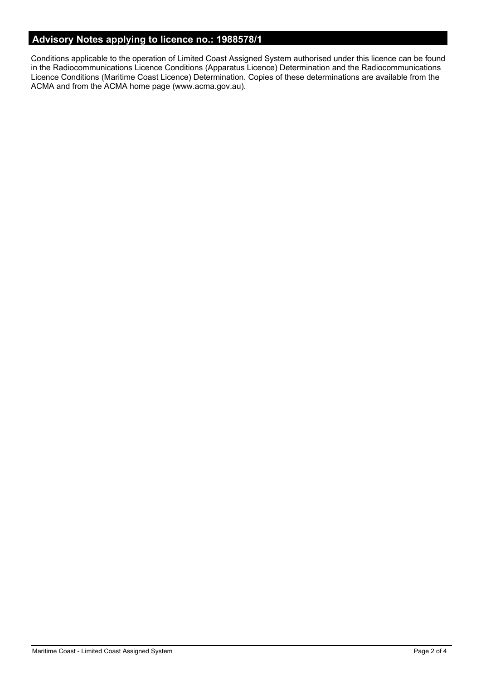## **Advisory Notes applying to licence no.: 1988578/1**

Conditions applicable to the operation of Limited Coast Assigned System authorised under this licence can be found in the Radiocommunications Licence Conditions (Apparatus Licence) Determination and the Radiocommunications Licence Conditions (Maritime Coast Licence) Determination. Copies of these determinations are available from the ACMA and from the ACMA home page (www.acma.gov.au).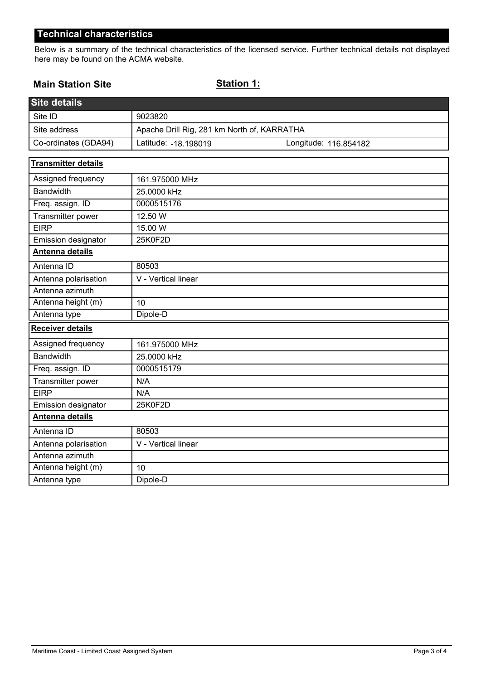## **Technical characteristics**

Below is a summary of the technical characteristics of the licensed service. Further technical details not displayed here may be found on the ACMA website.

#### **Main Station Site**

#### **Station 1:**

| <b>Site details</b>        |                                             |                       |  |
|----------------------------|---------------------------------------------|-----------------------|--|
| Site ID                    | 9023820                                     |                       |  |
| Site address               | Apache Drill Rig, 281 km North of, KARRATHA |                       |  |
| Co-ordinates (GDA94)       | Latitude: -18.198019                        | Longitude: 116.854182 |  |
| <b>Transmitter details</b> |                                             |                       |  |
| Assigned frequency         | 161.975000 MHz                              |                       |  |
| <b>Bandwidth</b>           | 25.0000 kHz                                 |                       |  |
| Freq. assign. ID           | 0000515176                                  |                       |  |
| Transmitter power          | 12.50 W                                     |                       |  |
| <b>EIRP</b>                | 15.00 W                                     |                       |  |
| Emission designator        | 25K0F2D                                     |                       |  |
| Antenna details            |                                             |                       |  |
| Antenna ID                 | 80503                                       |                       |  |
| Antenna polarisation       | V - Vertical linear                         |                       |  |
| Antenna azimuth            |                                             |                       |  |
| Antenna height (m)         | 10                                          |                       |  |
| Antenna type               | Dipole-D                                    |                       |  |
| <b>Receiver details</b>    |                                             |                       |  |
| Assigned frequency         | 161.975000 MHz                              |                       |  |
| <b>Bandwidth</b>           | 25.0000 kHz                                 |                       |  |
| Freq. assign. ID           | 0000515179                                  |                       |  |
| Transmitter power          | N/A                                         |                       |  |
| <b>EIRP</b>                | N/A                                         |                       |  |
| Emission designator        | 25K0F2D                                     |                       |  |
| <b>Antenna details</b>     |                                             |                       |  |
| Antenna ID                 | 80503                                       |                       |  |
| Antenna polarisation       | V - Vertical linear                         |                       |  |
| Antenna azimuth            |                                             |                       |  |
| Antenna height (m)         | 10                                          |                       |  |
| Antenna type               | Dipole-D                                    |                       |  |